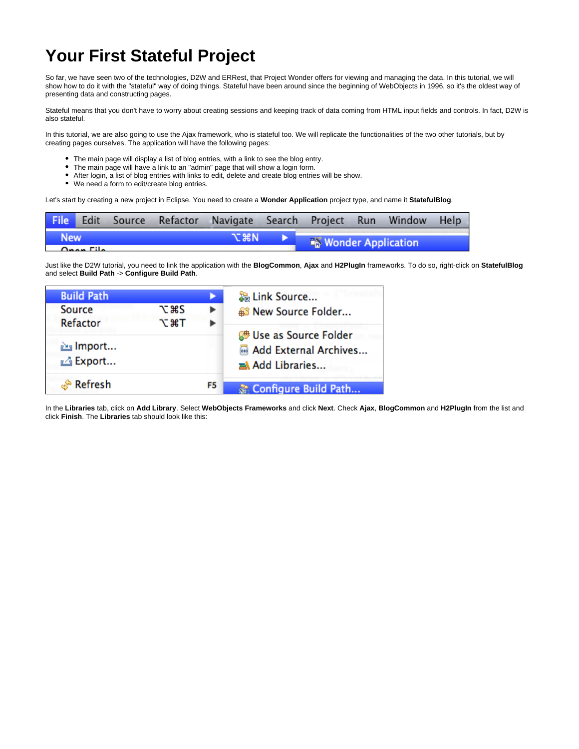## **Your First Stateful Project**

So far, we have seen two of the technologies, D2W and ERRest, that Project Wonder offers for viewing and managing the data. In this tutorial, we will show how to do it with the "stateful" way of doing things. Stateful have been around since the beginning of WebObjects in 1996, so it's the oldest way of presenting data and constructing pages.

Stateful means that you don't have to worry about creating sessions and keeping track of data coming from HTML input fields and controls. In fact, D2W is also stateful.

In this tutorial, we are also going to use the Ajax framework, who is stateful too. We will replicate the functionalities of the two other tutorials, but by creating pages ourselves. The application will have the following pages:

- The main page will display a list of blog entries, with a link to see the blog entry.
- The main page will have a link to an "admin" page that will show a login form.
- After login, a list of blog entries with links to edit, delete and create blog entries will be show.
- We need a form to edit/create blog entries.

Let's start by creating a new project in Eclipse. You need to create a **Wonder Application** project type, and name it **StatefulBlog**.

|                             |  |  |  | File Edit Source Refactor Navigate Search Project Run Window Help |  |  |                           |  |  |
|-----------------------------|--|--|--|-------------------------------------------------------------------|--|--|---------------------------|--|--|
| <b>New</b>                  |  |  |  | て出り                                                               |  |  | <b>Wonder Application</b> |  |  |
| $\Delta$ - - - $\Gamma$ H - |  |  |  |                                                                   |  |  |                           |  |  |

Just like the D2W tutorial, you need to link the application with the **BlogCommon**, **Ajax** and **H2PlugIn** frameworks. To do so, right-click on **StatefulBlog** and select **Build Path** -> **Configure Build Path**.

| <b>Build Path</b>          |                   |    | 鍋 Link Source<br><sup>3</sup> New Source Folder                   |  |  |
|----------------------------|-------------------|----|-------------------------------------------------------------------|--|--|
| <b>Source</b><br>Refactor  | てまS<br><b>NET</b> |    |                                                                   |  |  |
| 函 Import<br><b>△Export</b> |                   |    | 體 Use as Source Folder<br>Madd External Archives<br>Add Libraries |  |  |
| ് Refresh                  |                   | F5 | Configure Build Path                                              |  |  |

In the **Libraries** tab, click on **Add Library**. Select **WebObjects Frameworks** and click **Next**. Check **Ajax**, **BlogCommon** and **H2PlugIn** from the list and click **Finish**. The **Libraries** tab should look like this: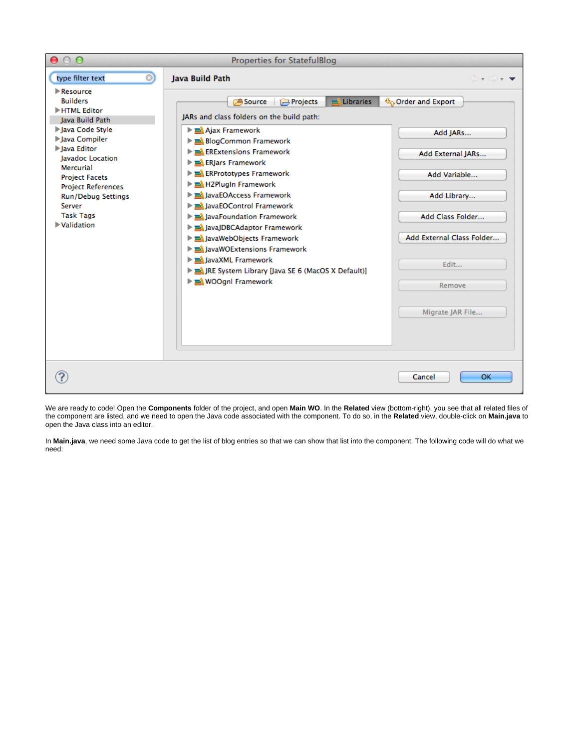

We are ready to code! Open the **Components** folder of the project, and open **Main WO**. In the **Related** view (bottom-right), you see that all related files of the component are listed, and we need to open the Java code associated with the component. To do so, in the **Related** view, double-click on **Main.java** to open the Java class into an editor.

In **Main.java**, we need some Java code to get the list of blog entries so that we can show that list into the component. The following code will do what we need: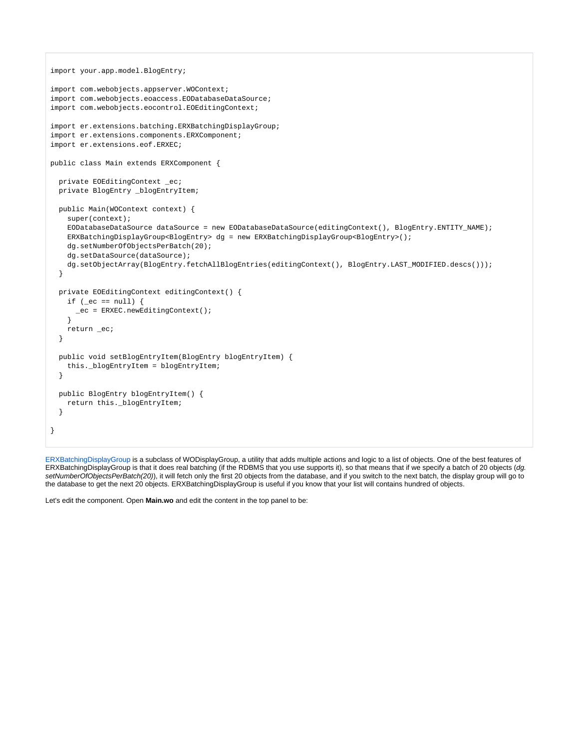```
import your.app.model.BlogEntry;
import com.webobjects.appserver.WOContext;
import com.webobjects.eoaccess.EODatabaseDataSource;
import com.webobjects.eocontrol.EOEditingContext;
import er.extensions.batching.ERXBatchingDisplayGroup;
import er.extensions.components.ERXComponent;
import er.extensions.eof.ERXEC;
public class Main extends ERXComponent {
  private EOEditingContext _ec;
  private BlogEntry _blogEntryItem;
  public Main(WOContext context) {
     super(context);
     EODatabaseDataSource dataSource = new EODatabaseDataSource(editingContext(), BlogEntry.ENTITY_NAME);
    ERXBatchingDisplayGroup<BlogEntry> dg = new ERXBatchingDisplayGroup<BlogEntry>();
    dg.setNumberOfObjectsPerBatch(20);
    dg.setDataSource(dataSource);
   dg.setObjectArray(BlogEntry.fetchAllBlogEntries(editingContext(), BlogEntry.LAST_MODIFIED.descs()));
  }
  private EOEditingContext editingContext() {
    if (_ec == null) {
     _ec = ERXEC.newEditingContext();
 }
     return _ec;
  }
  public void setBlogEntryItem(BlogEntry blogEntryItem) {
    this._blogEntryItem = blogEntryItem;
  }
  public BlogEntry blogEntryItem() {
   return this. blogEntryItem;
   }
}
```
[ERXBatchingDisplayGroup](http://jenkins.wocommunity.org/job/Wonder/lastSuccessfulBuild/javadoc/er/extensions/appserver/ERXDisplayGroup.html) is a subclass of WODisplayGroup, a utility that adds multiple actions and logic to a list of objects. One of the best features of ERXBatchingDisplayGroup is that it does real batching (if the RDBMS that you use supports it), so that means that if we specify a batch of 20 objects (dg. setNumberOfObjectsPerBatch(20)), it will fetch only the first 20 objects from the database, and if you switch to the next batch, the display group will go to the database to get the next 20 objects. ERXBatchingDisplayGroup is useful if you know that your list will contains hundred of objects.

Let's edit the component. Open **Main.wo** and edit the content in the top panel to be: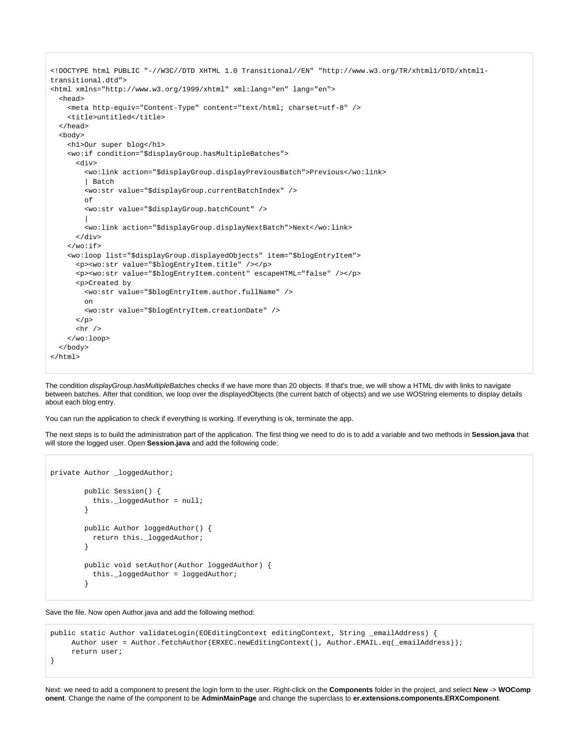```
<!DOCTYPE html PUBLIC "-//W3C//DTD XHTML 1.0 Transitional//EN" "http://www.w3.org/TR/xhtml1/DTD/xhtml1-
transitional.dtd">
<html xmlns="http://www.w3.org/1999/xhtml" xml:lang="en" lang="en">
  <head>
     <meta http-equiv="Content-Type" content="text/html; charset=utf-8" />
     <title>untitled</title>
  </head>
   <body>
     <h1>Our super blog</h1>
     <wo:if condition="$displayGroup.hasMultipleBatches">
       <div>
         <wo:link action="$displayGroup.displayPreviousBatch">Previous</wo:link>
         | Batch
         <wo:str value="$displayGroup.currentBatchIndex" />
         of
         <wo:str value="$displayGroup.batchCount" />
 |
         <wo:link action="$displayGroup.displayNextBatch">Next</wo:link>
       </div>
    \langle/wo:if>
     <wo:loop list="$displayGroup.displayedObjects" item="$blogEntryItem">
       <p><wo:str value="$blogEntryItem.title" /></p>
       <p><wo:str value="$blogEntryItem.content" escapeHTML="false" /></p>
       <p>Created by
        <wo:str value="$blogEntryItem.author.fullName" />
        on
         <wo:str value="$blogEntryItem.creationDate" />
     \langle/p>
      <hr /> \, </wo:loop>
  </body>
</html>
```
The condition displayGroup.hasMultipleBatches checks if we have more than 20 objects. If that's true, we will show a HTML div with links to navigate between batches. After that condition, we loop over the displayedObjects (the current batch of objects) and we use WOString elements to display details about each blog entry.

You can run the application to check if everything is working. If everything is ok, terminate the app.

The next steps is to build the administration part of the application. The first thing we need to do is to add a variable and two methods in **Session.java** that will store the logged user. Open **Session.java** and add the following code:

```
private Author _loggedAuthor;
        public Session() {
          this._loggedAuthor = null;
        }
        public Author loggedAuthor() {
          return this._loggedAuthor;
 }
        public void setAuthor(Author loggedAuthor) {
          this._loggedAuthor = loggedAuthor;
 }
```
Save the file. Now open Author.java and add the following method:

```
public static Author validateLogin(EOEditingContext editingContext, String _emailAddress) {
    Author user = Author.fetchAuthor(ERXEC.newEditingContext(), Author.EMAIL.eq(_emailAddress));
     return user;
}
```
Next: we need to add a component to present the login form to the user. Right-click on the **Components** folder in the project, and select **New** -> **WOComp onent**. Change the name of the component to be **AdminMainPage** and change the superclass to **er.extensions.components.ERXComponent**.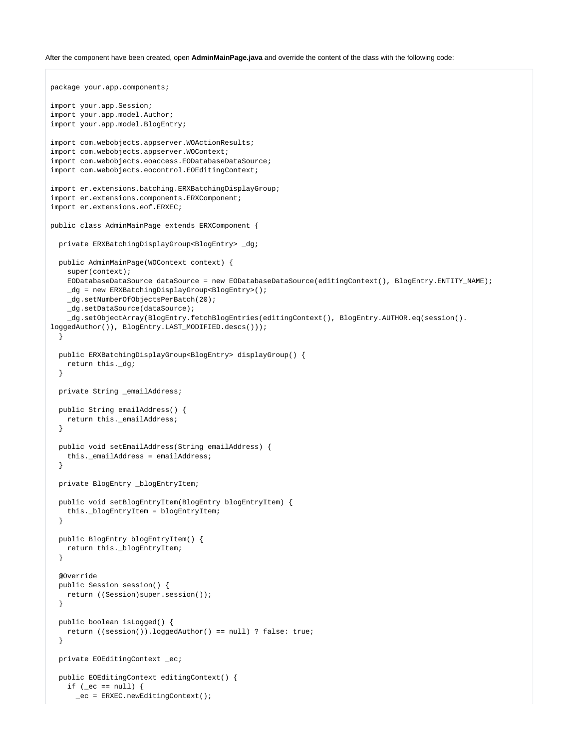## After the component have been created, open **AdminMainPage.java** and override the content of the class with the following code:

```
package your.app.components;
import your.app.Session;
import your.app.model.Author;
import your.app.model.BlogEntry;
import com.webobjects.appserver.WOActionResults;
import com.webobjects.appserver.WOContext;
import com.webobjects.eoaccess.EODatabaseDataSource;
import com.webobjects.eocontrol.EOEditingContext;
import er.extensions.batching.ERXBatchingDisplayGroup;
import er.extensions.components.ERXComponent;
import er.extensions.eof.ERXEC;
public class AdminMainPage extends ERXComponent {
   private ERXBatchingDisplayGroup<BlogEntry> _dg;
  public AdminMainPage(WOContext context) {
     super(context);
     EODatabaseDataSource dataSource = new EODatabaseDataSource(editingContext(), BlogEntry.ENTITY_NAME);
     _dg = new ERXBatchingDisplayGroup<BlogEntry>();
     _dg.setNumberOfObjectsPerBatch(20);
     _dg.setDataSource(dataSource);
     _dg.setObjectArray(BlogEntry.fetchBlogEntries(editingContext(), BlogEntry.AUTHOR.eq(session().
loggedAuthor()), BlogEntry.LAST_MODIFIED.descs()));
   }
   public ERXBatchingDisplayGroup<BlogEntry> displayGroup() {
     return this._dg;
   }
   private String _emailAddress;
   public String emailAddress() {
     return this._emailAddress;
   }
   public void setEmailAddress(String emailAddress) {
     this._emailAddress = emailAddress;
   }
   private BlogEntry _blogEntryItem;
   public void setBlogEntryItem(BlogEntry blogEntryItem) {
     this._blogEntryItem = blogEntryItem;
   }
   public BlogEntry blogEntryItem() {
    return this._blogEntryItem;
   }
   @Override
   public Session session() {
     return ((Session)super.session());
 }
   public boolean isLogged() {
    return ((session()).loggedAuthor() == null) ? false: true;
   }
   private EOEditingContext _ec;
   public EOEditingContext editingContext() {
   if (_ec == null) {
       _ec = ERXEC.newEditingContext();
```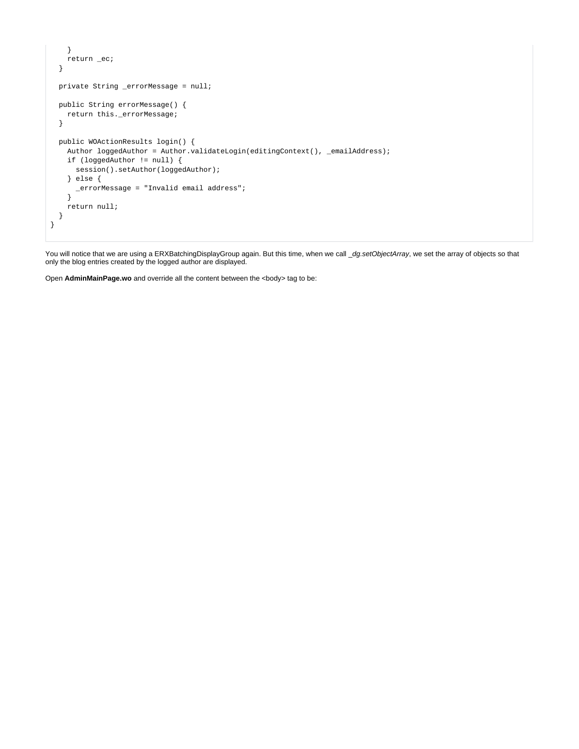```
 }
    return _ec;
  }
  private String _errorMessage = null;
  public String errorMessage() {
    return this._errorMessage;
  }
  public WOActionResults login() {
   Author loggedAuthor = Author.validateLogin(editingContext(), _emailAddress);
    if (loggedAuthor != null) {
     session().setAuthor(loggedAuthor);
     } else {
      _errorMessage = "Invalid email address";
     }
    return null;
  }
}
```
You will notice that we are using a ERXBatchingDisplayGroup again. But this time, when we call \_dg.setObjectArray, we set the array of objects so that only the blog entries created by the logged author are displayed.

Open AdminMainPage.wo and override all the content between the <body> tag to be: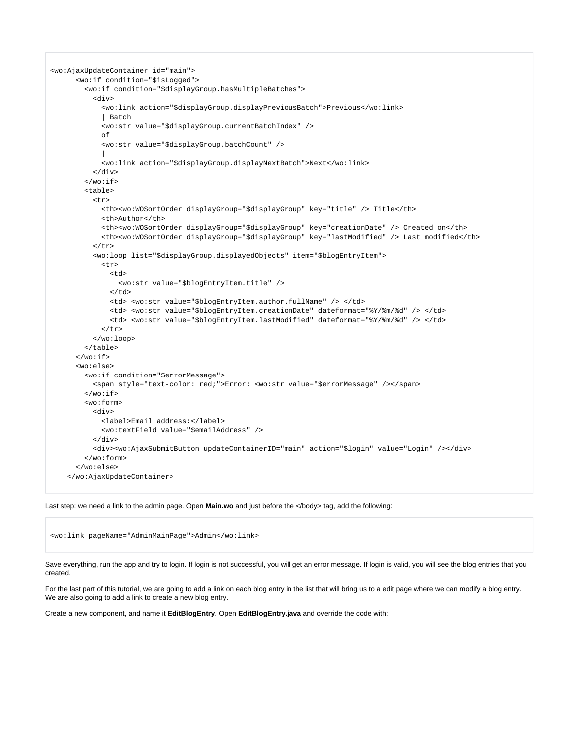```
<wo:AjaxUpdateContainer id="main">
       <wo:if condition="$isLogged">
         <wo:if condition="$displayGroup.hasMultipleBatches">
           <div>
             <wo:link action="$displayGroup.displayPreviousBatch">Previous</wo:link>
             | Batch
             <wo:str value="$displayGroup.currentBatchIndex" />
             of
             <wo:str value="$displayGroup.batchCount" />
 |
             <wo:link action="$displayGroup.displayNextBatch">Next</wo:link>
           </div>
        \langle/wo:if>
         <table>
           <tr>
             <th><wo:WOSortOrder displayGroup="$displayGroup" key="title" /> Title</th>
             <th>Author</th>
             <th><wo:WOSortOrder displayGroup="$displayGroup" key="creationDate" /> Created on</th>
             <th><wo:WOSortOrder displayGroup="$displayGroup" key="lastModified" /> Last modified</th>
          \langle/tr>
           <wo:loop list="$displayGroup.displayedObjects" item="$blogEntryItem">
             <tr>
              <sub>td</sub></sub>
                 <wo:str value="$blogEntryItem.title" />
              </td>
               <td> <wo:str value="$blogEntryItem.author.fullName" /> </td>
               <td> <wo:str value="$blogEntryItem.creationDate" dateformat="%Y/%m/%d" /> </td>
               <td> <wo:str value="$blogEntryItem.lastModified" dateformat="%Y/%m/%d" /> </td>
            \langle/tr>
           </wo:loop>
         </table>
      \langle/wo:if>
       <wo:else>
         <wo:if condition="$errorMessage">
           <span style="text-color: red;">Error: <wo:str value="$errorMessage" /></span>
        \epsilon/wo:if>
         <wo:form>
           <div>
             <label>Email address:</label>
             <wo:textField value="$emailAddress" />
           </div>
           <div><wo:AjaxSubmitButton updateContainerID="main" action="$login" value="Login" /></div>
         </wo:form>
       </wo:else>
     </wo:AjaxUpdateContainer>
```
Last step: we need a link to the admin page. Open **Main.wo** and just before the </body> tag, add the following:

<wo:link pageName="AdminMainPage">Admin</wo:link>

Save everything, run the app and try to login. If login is not successful, you will get an error message. If login is valid, you will see the blog entries that you created.

For the last part of this tutorial, we are going to add a link on each blog entry in the list that will bring us to a edit page where we can modify a blog entry. We are also going to add a link to create a new blog entry.

Create a new component, and name it **EditBlogEntry**. Open **EditBlogEntry.java** and override the code with: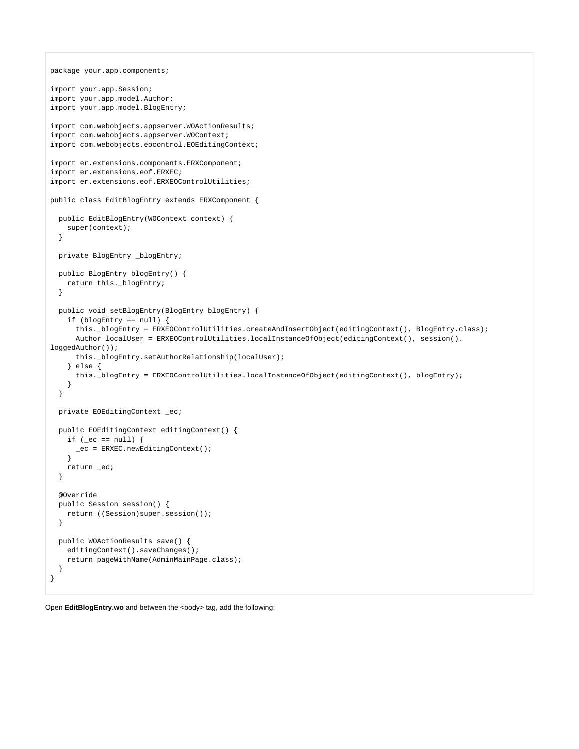```
package your.app.components;
import your.app.Session;
import your.app.model.Author;
import your.app.model.BlogEntry;
import com.webobjects.appserver.WOActionResults;
import com.webobjects.appserver.WOContext;
import com.webobjects.eocontrol.EOEditingContext;
import er.extensions.components.ERXComponent;
import er.extensions.eof.ERXEC;
import er.extensions.eof.ERXEOControlUtilities;
public class EditBlogEntry extends ERXComponent {
  public EditBlogEntry(WOContext context) {
    super(context);
   }
  private BlogEntry _blogEntry;
  public BlogEntry blogEntry() {
   return this. blogEntry;
  }
  public void setBlogEntry(BlogEntry blogEntry) {
    if (blogEntry == null) {
      this._blogEntry = ERXEOControlUtilities.createAndInsertObject(editingContext(), BlogEntry.class);
       Author localUser = ERXEOControlUtilities.localInstanceOfObject(editingContext(), session().
loggedAuthor());
       this._blogEntry.setAuthorRelationship(localUser);
     } else {
      this._blogEntry = ERXEOControlUtilities.localInstanceOfObject(editingContext(), blogEntry);
 }
  }
  private EOEditingContext _ec;
  public EOEditingContext editingContext() {
   if (ec == null) {
      _ec = ERXEC.newEditingContext();
     }
    return _ec;
  }
  @Override
  public Session session() {
    return ((Session)super.session());
  }
  public WOActionResults save() {
   editingContext().saveChanges();
    return pageWithName(AdminMainPage.class);
  }
}
```
Open **EditBlogEntry.wo** and between the <body> tag, add the following: